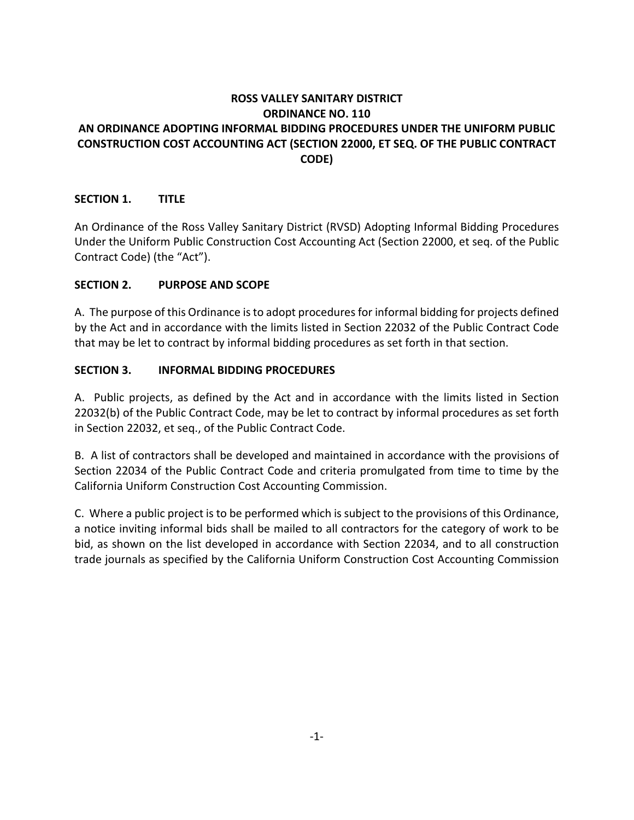# **ROSS VALLEY SANITARY DISTRICT ORDINANCE NO. 110 AN ORDINANCE ADOPTING INFORMAL BIDDING PROCEDURES UNDER THE UNIFORM PUBLIC CONSTRUCTION COST ACCOUNTING ACT (SECTION 22000, ET SEQ. OF THE PUBLIC CONTRACT CODE)**

## **SECTION 1. TITLE**

An Ordinance of the Ross Valley Sanitary District (RVSD) Adopting Informal Bidding Procedures Under the Uniform Public Construction Cost Accounting Act (Section 22000, et seq. of the Public Contract Code) (the "Act").

### **SECTION 2. PURPOSE AND SCOPE**

A. The purpose of this Ordinance is to adopt procedures for informal bidding for projects defined by the Act and in accordance with the limits listed in Section 22032 of the Public Contract Code that may be let to contract by informal bidding procedures as set forth in that section.

### **SECTION 3. INFORMAL BIDDING PROCEDURES**

A. Public projects, as defined by the Act and in accordance with the limits listed in Section 22032(b) of the Public Contract Code, may be let to contract by informal procedures as set forth in Section 22032, et seq., of the Public Contract Code.

B. A list of contractors shall be developed and maintained in accordance with the provisions of Section 22034 of the Public Contract Code and criteria promulgated from time to time by the California Uniform Construction Cost Accounting Commission.

C. Where a public project is to be performed which is subject to the provisions of this Ordinance, a notice inviting informal bids shall be mailed to all contractors for the category of work to be bid, as shown on the list developed in accordance with Section 22034, and to all construction trade journals as specified by the California Uniform Construction Cost Accounting Commission